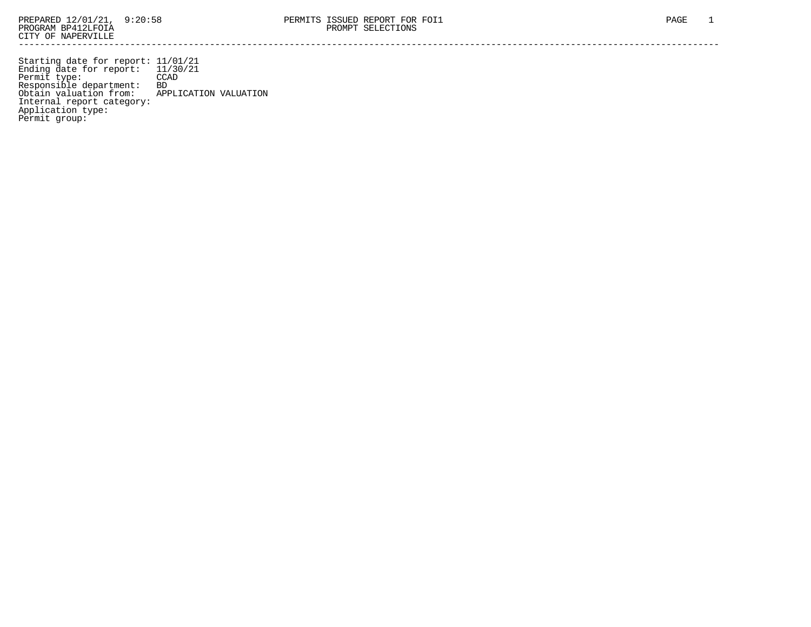Starting date for report: 11/01/21 Ending date for report: 11/30/21 Permit type: CCAD Responsible department: BD Obtain valuation from: APPLICATION VALUATION Internal report category: Application type: Permit group: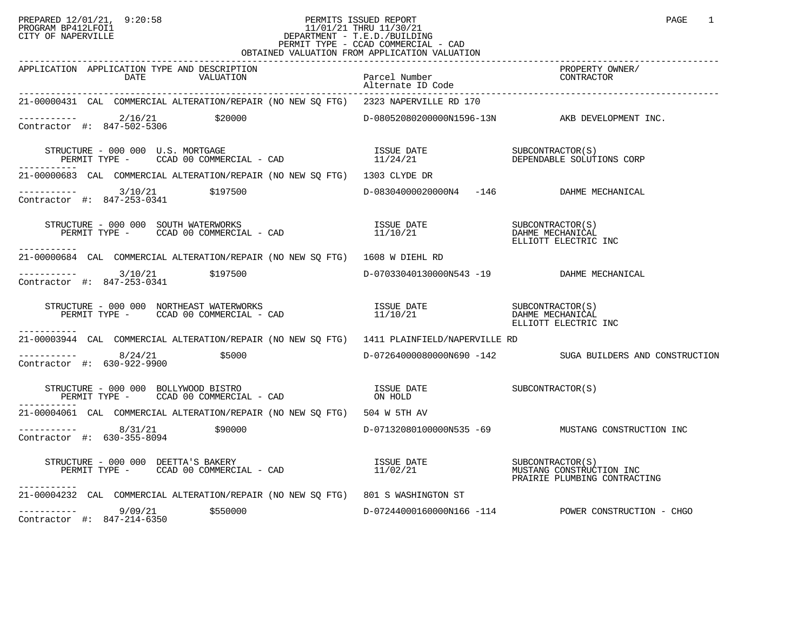## PREPARED 12/01/21, 9:20:58 PERMITS ISSUED REPORT PAGE 1 PROGRAM BP412LFOI1 11/01/21 THRU 11/30/21 CITY OF NAPERVILLE **Example 20** CITY OF NAPERVILLE PERMIT TYPE - CCAD COMMERCIAL - CAD OBTAINED VALUATION FROM APPLICATION VALUATION

| APPLICATION APPLICATION TYPE AND DESCRIPTION<br>DATE<br>VALUATION                                                                                                                                                                                                                                                                                                                         | Parcel Number<br>Alternate ID Code        | -----------<br>PROPERTY OWNER/<br>CONTRACTOR             |
|-------------------------------------------------------------------------------------------------------------------------------------------------------------------------------------------------------------------------------------------------------------------------------------------------------------------------------------------------------------------------------------------|-------------------------------------------|----------------------------------------------------------|
| 21-00000431 CAL COMMERCIAL ALTERATION/REPAIR (NO NEW SQ FTG) 2323 NAPERVILLE RD 170                                                                                                                                                                                                                                                                                                       |                                           |                                                          |
| $\begin{array}{cccc}\n & - & - & - & - & - - \\ \text{Contractor} & + & 847 - 502 - 5306 & & \text{$$20000}\n\end{array}$                                                                                                                                                                                                                                                                 |                                           | D-08052080200000N1596-13N AKB DEVELOPMENT INC.           |
| $\begin{array}{cccccc} \texttt{STRUCTURE} & - & 000 & 000 & U.S. & \texttt{MORTGAGE} & & & & \\ \texttt{PERMIT TYPE} & - & & \texttt{CCAD} & 00 & \texttt{COMMERCIAL} & - & \texttt{CAD} & & & \\ \end{array} \qquad \begin{array}{cccccc} \texttt{ISSUE} & \texttt{DATE} & & & & \\ \texttt{I1/24/21} & & & & & \texttt{DEPENDABLE} & \texttt{SOLUTIONS} & \texttt{CORP} \\ \end{array}$ |                                           |                                                          |
| 21-00000683 CAL COMMERCIAL ALTERATION/REPAIR (NO NEW SQ FTG) 1303 CLYDE DR                                                                                                                                                                                                                                                                                                                |                                           |                                                          |
| ----------- 3/10/21 \$197500<br>Contractor #: 847-253-0341 \$197500                                                                                                                                                                                                                                                                                                                       | D-08304000020000N4 -146 DAHME MECHANICAL  |                                                          |
| STRUCTURE – 000 000 SOUTH WATERWORKS<br>PERMIT TYPE – CCAD 00 COMMERCIAL – CAD 11/10/21 CHAME MECHANICAL<br>ELLIOTT ELECTRIC INC<br>-----------                                                                                                                                                                                                                                           |                                           |                                                          |
| 21-00000684 CAL COMMERCIAL ALTERATION/REPAIR (NO NEW SQ FTG) 1608 W DIEHL RD                                                                                                                                                                                                                                                                                                              |                                           |                                                          |
| $---------$ 3/10/21 \$197500<br>Contractor #: $847-253-0341$                                                                                                                                                                                                                                                                                                                              | D-07033040130000N543 -19 DAHME MECHANICAL |                                                          |
| $\begin{tabular}{lclclclcl} \textbf{STRUCTURE} & = & 000 & 000 & \textbf{NORTHEAST WATERWORES} & & & & & & & & & & & & \\ \textbf{PERMIT TYPE} & = & & & & & & & & & & & \\ \textbf{PERMIT TYPE} & = & & & & & & & & & \\ \textbf{PERMIT TYPE} & = & & & & & & & & & \\ \end{tabular}$<br>------------                                                                                    |                                           |                                                          |
| 21-00003944 CAL COMMERCIAL ALTERATION/REPAIR (NO NEW SO FTG) 1411 PLAINFIELD/NAPERVILLE RD                                                                                                                                                                                                                                                                                                |                                           |                                                          |
| $--------- 8/24/21$ \$5000<br>Contractor #: 630-922-9900                                                                                                                                                                                                                                                                                                                                  |                                           | D-07264000080000N690 -142 SUGA BUILDERS AND CONSTRUCTION |
| $\begin{tabular}{lllllllllllllllllll} \texttt{STRUCTURE} & - & 000 & 000 & \texttt{BOLLYWOOD} & \texttt{BISTRO} & & & & & & & & & \\ \texttt{SUSCLURE} & - & \texttt{CCAD} & 00 & \texttt{COMMERCIAL} & - & \texttt{CAD} & & & & & & \\ \texttt{DERMIT TYPE} & - & \texttt{CCAD} & 00 & \texttt{COMMERCIAL} & - & \texttt{CAD} & & & & \\ \end{tabular}$                                  |                                           |                                                          |
| 21-00004061 CAL COMMERCIAL ALTERATION/REPAIR (NO NEW SO FTG) 504 W 5TH AV                                                                                                                                                                                                                                                                                                                 |                                           |                                                          |
| $-$ --------- 8/31/21 \$90000<br>Contractor #: 630-355-8094                                                                                                                                                                                                                                                                                                                               |                                           | D-071320801000000N535 -69 MUSTANG CONSTRUCTION INC       |
| STRUCTURE - 000 000 DEETTA'S BAKERY<br>PERMIT TYPE - CCAD 00 COMMERCIAL - CAD                   11/02/21         MUSTANG CONSTRUCTION INC<br>PERMIT TYPE -     CCAD 00 COMMERCIAL - CAD                         11/02/21<br>-----------                                                                                                                                                   |                                           |                                                          |
| 21-00004232 CAL COMMERCIAL ALTERATION/REPAIR (NO NEW SQ FTG) 801 S WASHINGTON ST                                                                                                                                                                                                                                                                                                          |                                           |                                                          |
| $---------$ 9/09/21 \$550000<br>Contractor #: 847-214-6350                                                                                                                                                                                                                                                                                                                                |                                           | D-07244000160000N166 -114 POWER CONSTRUCTION - CHGO      |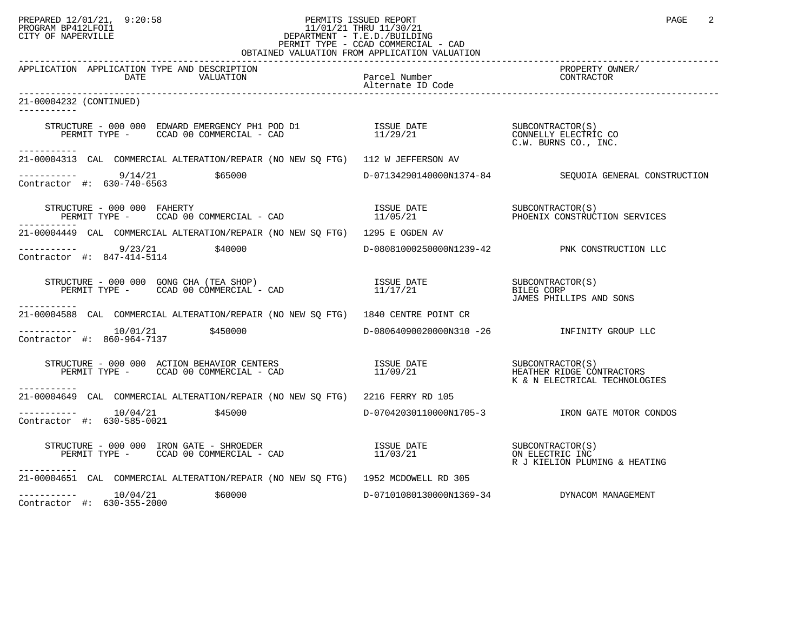## PREPARED 12/01/21, 9:20:58 PERMITS ISSUED REPORT PAGE 2 PROGRAM BP412LFOI1 11/01/21 THRU 11/30/21 CITY OF NAPERVILLE **Example 20** CITY OF NAPERVILLE PERMIT TYPE - CCAD COMMERCIAL - CAD

| OBTAINED VALUATION FROM APPLICATION VALUATION                                                                                                                                                                                                         |  |                                                                            |  |  |
|-------------------------------------------------------------------------------------------------------------------------------------------------------------------------------------------------------------------------------------------------------|--|----------------------------------------------------------------------------|--|--|
| APPLICATION APPLICATION TYPE AND DESCRIPTION                                                                                                                                                                                                          |  | PROPERTY OWNER/<br>CONTRACTOR                                              |  |  |
| 21-00004232 (CONTINUED)<br>-----------                                                                                                                                                                                                                |  |                                                                            |  |  |
| $\begin{array}{cccc} \texttt{STRUCTURE} & - & 000 & 000 & \texttt{EDWARD EMERGENCY PH1 POD D1} & & & & & & \\ \texttt{PERMIT TYPE} & - & \texttt{CCAD 00 COMMERCIAL} & - \texttt{CAD} & & & & & \\ \texttt{PERMIT TYPE} & - & & & & & \\ \end{array}$ |  |                                                                            |  |  |
| ----------<br>21-00004313 CAL COMMERCIAL ALTERATION/REPAIR (NO NEW SQ FTG) 112 W JEFFERSON AV                                                                                                                                                         |  |                                                                            |  |  |
| $--------$ 9/14/21 \$65000<br>Contractor #: 630-740-6563                                                                                                                                                                                              |  | D-07134290140000N1374-84 SEQUOIA GENERAL CONSTRUCTION                      |  |  |
| STRUCTURE - 000 000 FAHERTY<br>RUCTURE – 000 000 FAHERTY (SOMMERCIAL – CAD TISSUE DATE SUBCONTRACTOR (S) SUBCONTRACTOR (S) (SOMMERCIAL – CAD TROLL 11/05/21 (SOMMERCIAL – CAD TROLL 11/05/21 (SOMMERCIAL PHOENIX CONSTRUCTION SERVICES                |  |                                                                            |  |  |
| 21-00004449 CAL COMMERCIAL ALTERATION/REPAIR (NO NEW SQ FTG) 1295 E OGDEN AV                                                                                                                                                                          |  |                                                                            |  |  |
| $--------$ 9/23/21 $\frac{1}{29}$<br>Contractor #: 847-414-5114                                                                                                                                                                                       |  | D-08081000250000N1239-42 PNK CONSTRUCTION LLC                              |  |  |
| STRUCTURE - 000 000 GONG CHA (TEA SHOP)<br>PERMIT TYPE - CCAD 00 COMMERCIAL - CAD $11/17/21$ BILEG CORP BILEG CORP<br>------------                                                                                                                    |  | JAMES PHILLIPS AND SONS                                                    |  |  |
| 21-00004588 CAL COMMERCIAL ALTERATION/REPAIR (NO NEW SQ FTG) 1840 CENTRE POINT CR                                                                                                                                                                     |  |                                                                            |  |  |
| $---------$ 10/01/21 \$450000<br>Contractor #: 860-964-7137                                                                                                                                                                                           |  | D-08064090020000N310 -26 INFINITY GROUP LLC                                |  |  |
|                                                                                                                                                                                                                                                       |  | HEATHER RIDGE CONTRACTORS<br>K & N ELECTRICAL TECHNOLOGIES                 |  |  |
| ------------<br>21-00004649 CAL COMMERCIAL ALTERATION/REPAIR (NO NEW SQ FTG) 2216 FERRY RD 105                                                                                                                                                        |  |                                                                            |  |  |
| $\frac{10}{94}$ $\frac{10}{21}$ \$45000<br>Contractor #: 630-585-0021                                                                                                                                                                                 |  | D-07042030110000N1705-3 TRON GATE MOTOR CONDOS                             |  |  |
| STRUCTURE - 000 000 IRON GATE - SHROEDER<br>PERMIT TYPE - CCAD 00 COMMERCIAL - CAD<br>-----------                                                                                                                                                     |  | ISSUE DATE (SUBCONTRACTOR(S)<br>11/03/21 (ON ELECTRIC INC) ON ELECTRIC INC |  |  |
| 21-00004651 CAL COMMERCIAL ALTERATION/REPAIR (NO NEW SQ FTG) 1952 MCDOWELL RD 305                                                                                                                                                                     |  |                                                                            |  |  |
| $--------$ 10/04/21<br>\$60000<br>Contractor #: 630-355-2000                                                                                                                                                                                          |  | D-07101080130000N1369-34 DYNACOM MANAGEMENT                                |  |  |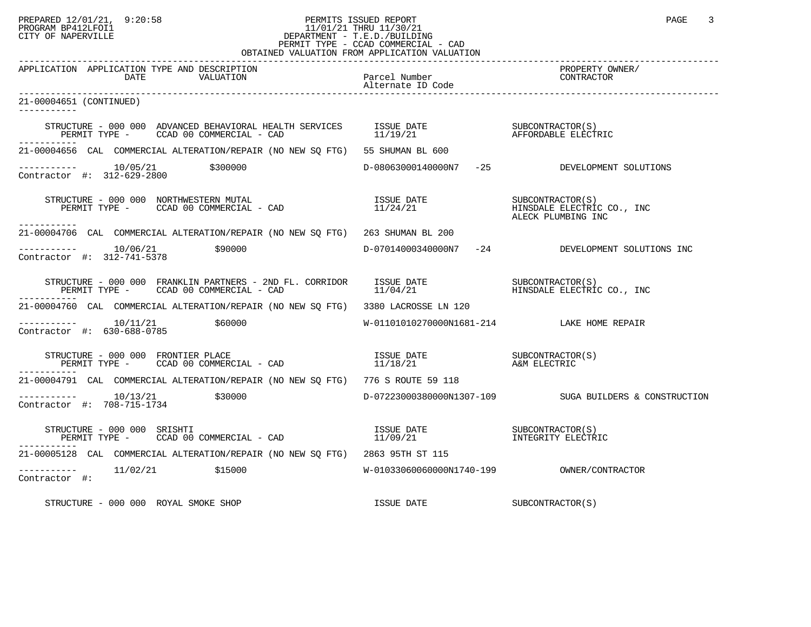## PREPARED 12/01/21, 9:20:58 PERMITS ISSUED REPORT PAGE 3 PROGRAM BP412LFOI1 11/01/21 THRU 11/30/21 CITY OF NAPERVILLE **Example 20** CITY OF NAPERVILLE PERMIT TYPE - CCAD COMMERCIAL - CAD OBTAINED VALUATION FROM APPLICATION VALUATION

| APPLICATION APPLICATION TYPE AND DESCRIPTION<br>DATE<br>VALUATION                                                                                                                          | Parcel Number<br>Alternate ID Code           | PROPERTY OWNER/<br>CONTRACTOR                    |
|--------------------------------------------------------------------------------------------------------------------------------------------------------------------------------------------|----------------------------------------------|--------------------------------------------------|
| 21-00004651 (CONTINUED)                                                                                                                                                                    |                                              |                                                  |
|                                                                                                                                                                                            |                                              |                                                  |
| -----------<br>21-00004656 CAL COMMERCIAL ALTERATION/REPAIR (NO NEW SO FTG) 55 SHUMAN BL 600                                                                                               |                                              |                                                  |
| $---------$ 10/05/21 \$300000<br>Contractor #: 312-629-2800                                                                                                                                |                                              | D-08063000140000N7 -25 DEVELOPMENT SOLUTIONS     |
| ------------                                                                                                                                                                               |                                              | ALECK PLUMBING INC                               |
| 21-00004706 CAL COMMERCIAL ALTERATION/REPAIR (NO NEW SQ FTG) 263 SHUMAN BL 200                                                                                                             |                                              |                                                  |
| $\frac{10}{06/21}$<br>\$90000<br>Contractor #: 312-741-5378                                                                                                                                |                                              | D-07014000340000N7 -24 DEVELOPMENT SOLUTIONS INC |
| PERMIT TYPE - CCAD 00 COMMERCIAL - CAD                                                                                                                                                     |                                              |                                                  |
| 21-00004760 CAL COMMERCIAL ALTERATION/REPAIR (NO NEW SO FTG) 3380 LACROSSE LN 120                                                                                                          |                                              |                                                  |
| \$60000<br>Contractor #: 630-688-0785                                                                                                                                                      | W-01101010270000N1681-214 LAKE HOME REPAIR   |                                                  |
| STRUCTURE - 000 000 FRONTIER PLACE<br>. _ _ _ _ _ _ _ _ _ _                                                                                                                                |                                              |                                                  |
| 21-00004791 CAL COMMERCIAL ALTERATION/REPAIR (NO NEW SO FTG) 776 S ROUTE 59 118                                                                                                            |                                              |                                                  |
| $--------- 10/13/21$<br>\$30000<br>Contractor #: 708-715-1734                                                                                                                              |                                              |                                                  |
| STRUCTURE - 000 000 SRISHTI<br>TRUCTURE – 000 000 SRISHTI (SUN EROLLE ESSUE DATE SUBCONTRACTOR)<br>PERMIT TYPE – CCAD 00 COMMERCIAL – CAD (SUN) (SUN) 21 (SUN) 21 (SUN) INTEGRITY ELECTRIC |                                              |                                                  |
| -----------<br>21-00005128 CAL COMMERCIAL ALTERATION/REPAIR (NO NEW SQ FTG) 2863 95TH ST 115                                                                                               |                                              |                                                  |
| $---------$ 11/02/21 \$15000<br>Contractor #:                                                                                                                                              | $W-01033060060000N1740-199$ OWNER/CONTRACTOR |                                                  |
| STRUCTURE - 000 000 ROYAL SMOKE SHOP                                                                                                                                                       | ISSUE DATE                                   | SUBCONTRACTOR(S)                                 |